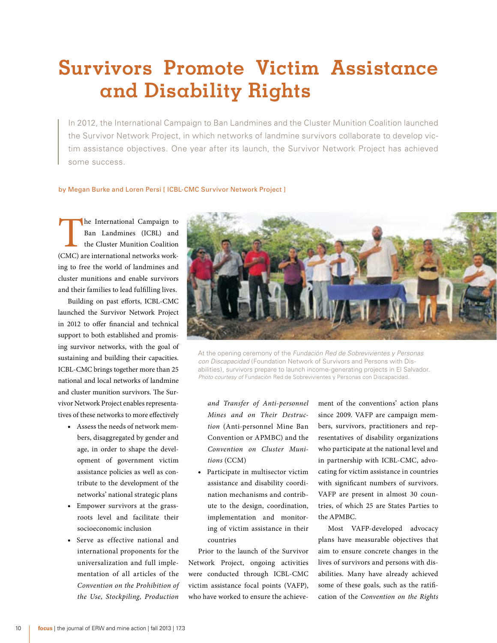## **Survivors Promote Victim Assistance and Disability Rights**

In 2012, the International Campaign to Ban Landmines and the Cluster Munition Coalition launched the Survivor Network Project, in which networks of landmine survivors collaborate to develop victim assistance objectives. One year after its launch, the Survivor Network Project has achieved some success.

## by Megan Burke and Loren Persi [ ICBL-CMC Survivor Network Project ]

The International Campaign to<br>
Ban Landmines (ICBL) and<br>
the Cluster Munition Coalition<br>
(CMC) are international networks work-Ban Landmines (ICBL) and the Cluster Munition Coalition ing to free the world of landmines and cluster munitions and enable survivors and their families to lead fulfilling lives.

Building on past efforts, ICBL-CMC launched the Survivor Network Project in 2012 to offer financial and technical support to both established and promising survivor networks, with the goal of sustaining and building their capacities. ICBL-CMC brings together more than 25 national and local networks of landmine and cluster munition survivors. The Survivor Network Project enables representatives of these networks to more effectively

- • Assess the needs of network members, disaggregated by gender and age, in order to shape the development of government victim assistance policies as well as contribute to the development of the networks' national strategic plans
- Empower survivors at the grassroots level and facilitate their socioeconomic inclusion
- Serve as effective national and international proponents for the universalization and full implementation of all articles of the *Convention on the Prohibition of the Use, Stockpiling, Production*



At the opening ceremony of the *Fundación Red de Sobrevivientes y Personas con Discapacidad* (Foundation Network of Survivors and Persons with Disabilities), survivors prepare to launch income-generating projects in El Salvador. *Photo courtesy of* Fundación Red de Sobrevivientes y Personas con Discapacidad.

*and Transfer of Anti-personnel Mines and on Their Destruction* (Anti-personnel Mine Ban Convention or APMBC) and the *Convention on Cluster Munitions* (CCM)

Participate in multisector victim assistance and disability coordination mechanisms and contribute to the design, coordination, implementation and monitoring of victim assistance in their countries

Prior to the launch of the Survivor Network Project, ongoing activities were conducted through ICBL-CMC victim assistance focal points (VAFP), who have worked to ensure the achievement of the conventions' action plans since 2009. VAFP are campaign members, survivors, practitioners and representatives of disability organizations who participate at the national level and in partnership with ICBL-CMC, advocating for victim assistance in countries with significant numbers of survivors. VAFP are present in almost 30 countries, of which 25 are States Parties to the APMBC.

Most VAFP-developed advocacy plans have measurable objectives that aim to ensure concrete changes in the lives of survivors and persons with disabilities. Many have already achieved some of these goals, such as the ratification of the *Convention on the Rights*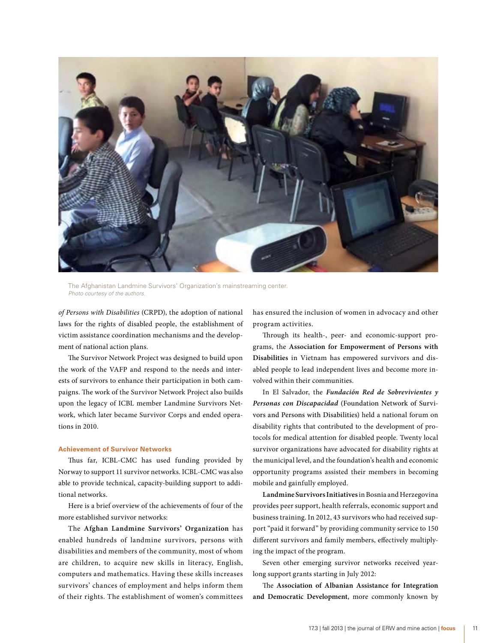

The Afghanistan Landmine Survivors' Organization's mainstreaming center. *Photo courtesy of the authors.*

*of Persons with Disabilities* (CRPD), the adoption of national laws for the rights of disabled people, the establishment of victim assistance coordination mechanisms and the development of national action plans.

The Survivor Network Project was designed to build upon the work of the VAFP and respond to the needs and interests of survivors to enhance their participation in both campaigns. The work of the Survivor Network Project also builds upon the legacy of ICBL member Landmine Survivors Network, which later became Survivor Corps and ended operations in 2010.

## **Achievement of Survivor Networks**

Thus far, ICBL-CMC has used funding provided by Norway to support 11 survivor networks. ICBL-CMC was also able to provide technical, capacity-building support to additional networks.

Here is a brief overview of the achievements of four of the more established survivor networks:

The **Afghan Landmine Survivors' Organization** has enabled hundreds of landmine survivors, persons with disabilities and members of the community, most of whom are children, to acquire new skills in literacy, English, computers and mathematics. Having these skills increases survivors' chances of employment and helps inform them of their rights. The establishment of women's committees

has ensured the inclusion of women in advocacy and other program activities.

Through its health-, peer- and economic-support programs, the **Association for Empowerment of Persons with Disabilities** in Vietnam has empowered survivors and disabled people to lead independent lives and become more involved within their communities.

In El Salvador, the *Fundación Red de Sobrevivientes y Personas con Discapacidad* (Foundation Network of Survivors and Persons with Disabilities) held a national forum on disability rights that contributed to the development of protocols for medical attention for disabled people. Twenty local survivor organizations have advocated for disability rights at the municipal level, and the foundation's health and economic opportunity programs assisted their members in becoming mobile and gainfully employed.

**Landmine Survivors Initiatives** in Bosnia and Herzegovina provides peer support, health referrals, economic support and business training. In 2012, 43 survivors who had received support "paid it forward" by providing community service to 150 different survivors and family members, effectively multiplying the impact of the program.

Seven other emerging survivor networks received yearlong support grants starting in July 2012:

The **Association of Albanian Assistance for Integration and Democratic Development**, more commonly known by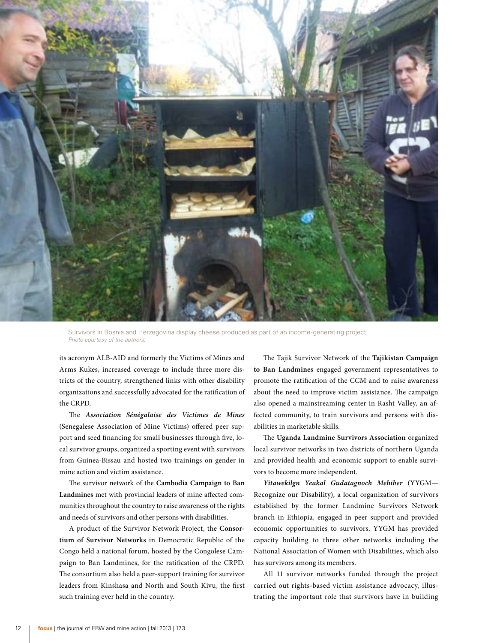

Survivors in Bosnia and Herzegovina display cheese produced as part of an income-generating project. *Photo courtesy of the authors.*

its acronym ALB-AID and formerly the Victims of Mines and Arms Kukes, increased coverage to include three more districts of the country, strengthened links with other disability organizations and successfully advocated for the ratification of the CRPD.

The *Association Sénégalaise des Victimes de Mines* (Senegalese Association of Mine Victims) offered peer support and seed financing for small businesses through five, local survivor groups, organized a sporting event with survivors from Guinea-Bissau and hosted two trainings on gender in mine action and victim assistance.

The survivor network of the **Cambodia Campaign to Ban Landmines** met with provincial leaders of mine affected communities throughout the country to raise awareness of the rights and needs of survivors and other persons with disabilities.

A product of the Survivor Network Project, the **Consortium of Survivor Networks** in Democratic Republic of the Congo held a national forum, hosted by the Congolese Campaign to Ban Landmines, for the ratification of the CRPD. The consortium also held a peer-support training for survivor leaders from Kinshasa and North and South Kivu, the first such training ever held in the country.

The Tajik Survivor Network of the **Tajikistan Campaign to Ban Landmines** engaged government representatives to promote the ratification of the CCM and to raise awareness about the need to improve victim assistance. The campaign also opened a mainstreaming center in Rasht Valley, an affected community, to train survivors and persons with disabilities in marketable skills.

The **Uganda Landmine Survivors Association** organized local survivor networks in two districts of northern Uganda and provided health and economic support to enable survivors to become more independent.

*Yitawekilgn Yeakal Gudatagnoch Mehiber* (YYGM— Recognize our Disability), a local organization of survivors established by the former Landmine Survivors Network branch in Ethiopia, engaged in peer support and provided economic opportunities to survivors. YYGM has provided capacity building to three other networks including the National Association of Women with Disabilities, which also has survivors among its members.

All 11 survivor networks funded through the project carried out rights-based victim assistance advocacy, illustrating the important role that survivors have in building